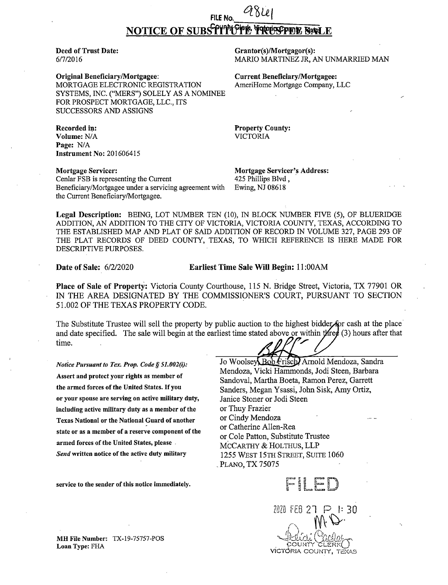# FILE No. NOTICE OF SUBSTITUTE TO TOUSFEE SALE

**Deed of Trust Date:** 6/7/2016

**Original Beneficiary/Mortgagee:** MORTGAGE ELECTRONIC REGISTRATION SYSTEMS, INC. ("MERS") SOLELY AS A NOMINEE FOR PROSPECT MORTGAGE, LLC., ITS SUCCESSORS AND ASSIGNS

Grantor(s)/Mortgagor(s): MARIO MARTINEZ JR, AN UNMARRIED MAN

**Current Beneficiary/Mortgagee:** AmeriHome Mortgage Company, LLC

**Property County: VICTORIA** 

Recorded in: Volume: N/A Page: N/A **Instrument No: 201606415** 

**Mortgage Servicer:** Cenlar FSB is representing the Current Beneficiary/Mortgagee under a servicing agreement with the Current Beneficiary/Mortgagee.

**Mortgage Servicer's Address:** 425 Phillips Blvd, Ewing, NJ 08618

Legal Description: BEING, LOT NUMBER TEN (10), IN BLOCK NUMBER FIVE (5), OF BLUERIDGE ADDITION, AN ADDITION TO THE CITY OF VICTORIA, VICTORIA COUNTY, TEXAS, ACCORDING TO THE ESTABLISHED MAP AND PLAT OF SAID ADDITION OF RECORD IN VOLUME 327, PAGE 293 OF THE PLAT RECORDS OF DEED COUNTY, TEXAS, TO WHICH REFERENCE IS HERE MADE FOR DESCRIPTIVE PURPOSES.

**Date of Sale: 6/2/2020** 

Earliest Time Sale Will Begin: 11:00AM

Place of Sale of Property: Victoria County Courthouse, 115 N. Bridge Street, Victoria, TX 77901 OR IN THE AREA DESIGNATED BY THE COMMISSIONER'S COURT, PURSUANT TO SECTION 51.002 OF THE TEXAS PROPERTY CODE.

The Substitute Trustee will sell the property by public auction to the highest bidder for cash at the place and date specified. The sale will begin at the earliest time stated above or within  $\sharp$  (3) hours after that time.

Notice Pursuant to Tex. Prop. Code § 51.002(i): Assert and protect your rights as member of the armed forces of the United States. If you or your spouse are serving on active military duty, including active military duty as a member of the **Texas National or the National Guard of another** state or as a member of a reserve component of the armed forces of the United States, please. Send written notice of the active duty military

service to the sender of this notice immediately.

MH File Number: TX-19-75757-POS Loan Type: FHA

Jo Woolsey Bob Frisch Arnold Mendoza, Sandra Mendoza, Vicki Hammonds, Jodi Steen, Barbara Sandoval, Martha Boeta, Ramon Perez, Garrett Sanders, Megan Ysassi, John Sisk, Amy Ortiz, Janice Stoner or Jodi Steen or Thuy Frazier or Cindy Mendoza or Catherine Allen-Rea or Cole Patton, Substitute Trustee MCCARTHY & HOLTHUS, LLP 1255 WEST 15TH STREET, SUITE 1060 PLANO, TX 75075



2020 FEB 27 ।: २∩ VICTÓRIA COUNTY, TEXAS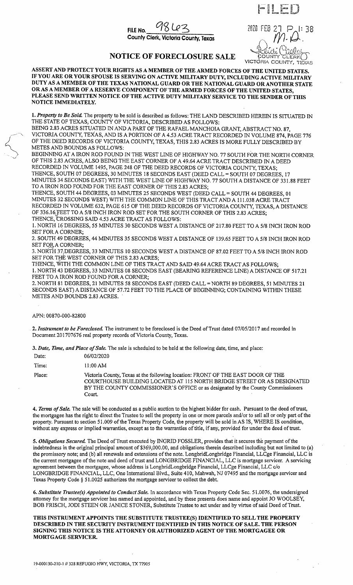

2020 FEB 27 VICTORIA COLINT TEXAS

## NOTICE OF FORECLOSURE SALE

ASSERT AND PROTECT YOUR RIGHTS AS A MEMBER OF THE ARMED FORCES OF THE UNITED STATES. IF YOU ARE OR YOUR SPOUSE IS SERVING ON ACTIVE MILITARY DUTY, INCLUDING ACTIVE MILITARY DUTY AS A MEMBER OF THE TEXAS NATIONAL GUARD OR THE NATIONAL GUARD OR ANOTHER STATE OR AS A MEMBER OF A RESERVE COMPONENT OF THE ARMED FORCES OF THE UNITED STATES. PLEASE SEND WRITTEN NOTICE OF THE ACTIVE DUTY MILITARY SERVICE TO THE SENDER OF THIS NOTICE IMMEDIATELY.

1. Property to Be Sold. The property to be sold is described as follows: THE LAND DESCRIBED HEREIN IS SITUATED IN THE STATE OF TEXAS, COUNTY OF VICTORIA, DESCRIBED AS FOLLOWS:

BEING 2.83 ACRES SITUATED IN AND A PART OF THE RAFAEL MANCHOIA GRANT, ABSTRACT NO. 87, VICTORIA COUNTY, TEXAS, AND IS A PORTION OF A 4.53 ACRE TRACT RECORDED IN VOLUME 874, PAGE 776 OF THE DEED RECORDS OF VICTORIA COUNTY, TEXAS, THIS 2.83 ACRES IS MORE FULLY DESCRIBED BY METES AND BOUNDS AS FOLLOWS:

BEGINNING AT A IRON ROD FOUND IN THE WEST LINE OF HIGHWAY NO. 77 SOUTH FOR THE NORTH CORNER OF THIS 2.83 ACRES, ALSO BEING THE EAST CORNER OF A 49.64 ACRE TRACT DESCRIBED IN A DEED RECORDED IN VOLUME 1495, PAGE 248 OF THE DEED RECORDS OF VICTORIA COUNTY, TEXAS; THENCE, SOUTH 07 DEGREES, 30 MINUTES 18 SECONDS EAST (DEED CALL = SOUTH 07 DEGREES, 17 MINUTES 34 SECONDS EAST) WITH THE WEST LINE OF HIGHWAY NO. 77 SOUTH A DISTANCE OF 331.88 FEET TO A IRON ROD FOUND FOR THE EAST CORNER OF THIS 2.83 ACRES;

THENCE, SOUTH 44 DEGREES, 03 MINUTES 25 SECONDS WEST (DEED CALL = SOUTH 44 DEGREES, 01 MINUTES 32 SECONDS WEST) WITH THE COMMON LINE OF THIS TRACT AND A 111.038 ACRE TRACT RECORDED IN VOLUME 632, PAGE 615 OF THE DEED RECORDS OF VICTORIA COUNTY, TEXAS, A DISTANCE OF 336.16 FEET TO A 5/8 INCH IRON ROD SET FOR THE SOUTH CORNER OF THIS 2.83 ACRES; THENCE, CROSSING SAID 4.53 ACRE TRACT AS FOLLOWS:

1. NORTH 16 DEGREES, 55 MINUTES 30 SECONDS WEST A DISTANCE OF 217.80 FEET TO A 5/8 INCH IRON ROD SET FOR A CORNER;

2. SOUTH 49 DEGREES, 44 MINUTES 35 SECONDS WEST A DISTANCE OF 139.65 FEET TO A 5/8 INCH IRON ROD SET FOR A CORNER;

3. NORTH 37; DEGREES, 33 MINUTES 10 SECONDS WEST A DISTANCE OF 87.02 FEET TO A 5/8 INCH IRON ROD SET FOR THE WEST CORNER OF THIS 2.83 ACRES;

THENCE, WITH THE COMMON LINE OF THIS TRACT AND SAID 49.64 ACRE TRACT AS FOLLOWS;

1. NORTH 43 DEGREES, 33 MINUTES 08 SECONDS EAST (BEARING REFERENCE LINE) A DISTANCE OF 517.21 FEET TO A IRON ROD FOUND FOR A CORNER;

2. NORTH 81 DEGREES, 21 MINUTES 58 SECONDS EAST (DEED CALL = NORTH 89 DEGREES, 51 MINUTES 21 SECONDS EAST) A DISTANCE OF 57.72 FEET TO THE PLACE OF BEGINNING; CONTAINING WITHIN THESE METES AND BOUNDS 2.83 ACRES.

#### APN: 00870-000-82800

2. Instrument to be Foreclosed. The instrument to be foreclosed is the Deed of Trust dated 07/05/2017 and recorded in Document 201707676 real property records of Victoria County, Texas.

3. Date, Time, and Place of Sale. The sale is scheduled to be held at the following date, time, and place:

| Date: | 06/02/2020 |
|-------|------------|
|       |            |

Time: 11:00 AM

Place: Victoria County, Texas at the following location: FRONT OF THE EAST DOOR OF THE COURTHOUSE BUILDING LOCATED AT 115 NORTH BRIDGE STREET OR AS DESIGNATED BY THE COUNTY COMMISSIONER'S OFFICE or as designated by the County Commissioners Court.

4. Terms of Sale. The sale will be conducted as a public auction to the highest bidder for cash. Pursuant to the deed of trust, the mortgagee has the right to direct the Trustee to sell the property in one or more parcels and/or to sell all or only part of the property. Pursuant to section 51.009 of the Texas Property Code, the property will be sold in AS IS, WHERE IS condition, without any express or implied warranties, except as to the warranties of title, if any, provided for under the deed of trust.

5. Obligations Secured. The Deed of Trust executed by INGRID FOSSLER, provides that it secures the payment of the indebtedness in the original principal amount of \$369,000.00, and obligations therein described including but not limited to (a) the promissory note; and (b) all renewals and extensions of the note. LongbridLongbridge Financial, LLCge Financial, LLC is the current mortgagee of the note and deed of trust and LONGBRIDGE FINANCIAL, LLC is mortgage servicer. A servicing agreement between the mortgagee, whose address is LongbridLongbridge Financial, LLCge Financial, LLC c/o LONGBRIDGE FINANCIAL, LLC, One International Blvd., Suite 410, Mahwah, NJ 07495 and the mortgage servicer and Texas Property Code § 51.0025 authorizes the mortgage servicer to collect the debt.

6. Substitute Trustee(s) Appointed to Conduct Sale. In accordance with Texas Property Code Sec. 51.0076, the undersigned attorney for the mortgage servicer has named and appointed, and by these presents does name and appoint JO WOOLSEY, BOB FRISCH, JODI STEEN OR JANICE STONER, Substitute Trustee to act under and by virtue of said Deed of Trust.

THIS INSTRUMENT APPOINTS THE SUBSTITUTE TRUSTEE(S) IDENTIFIED TO SELL THE PROPERTY DESCRIBED IN THE SECURITY INSTRUMENT IDENTIFIED IN THIS NOTICE OF SALE. THE PERSON SIGNING THIS NOTICE IS THE ATTORNEY OR AUTHORIZED AGENT OF THE MORTGAGEE OR MORTGAGE SERVICER.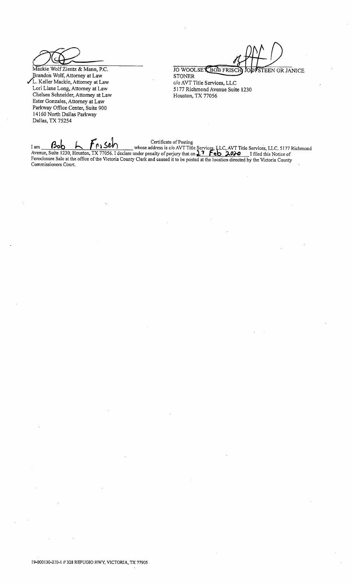Mackie Wolf Zientz & Mann, P.C. Brandon Wolf, Attorney at Law<br>L. Keller Mackie, Attorney at Law Lori Liane Long, Attorney at Law Chelsea Schneider, Attorney at Law Ester Gonzales, Attorney at Law Parkway Office Center, Suite 900 14160 North Dallas Parkway Dallas, TX 75254

JO WOOLSEY BOB FRISCH TEEN OR JANICE

**STONER** c/o AVT Title Services, LLC 5177 Richmond Avenue Suite 1230 Houston, TX 77056

I am **Bob** 6 1230, Houston, TX 77056. I declare under penalty of perjury that on 27 Feb 2020 I filed this Notice of Foreclosure Sale at the office of the Victoria County Clerk and caused it to be posted at the location dir Commissioners Court.

19-000130-210-1 // 328 REFUGIO HWY, VICTORIA, TX 77905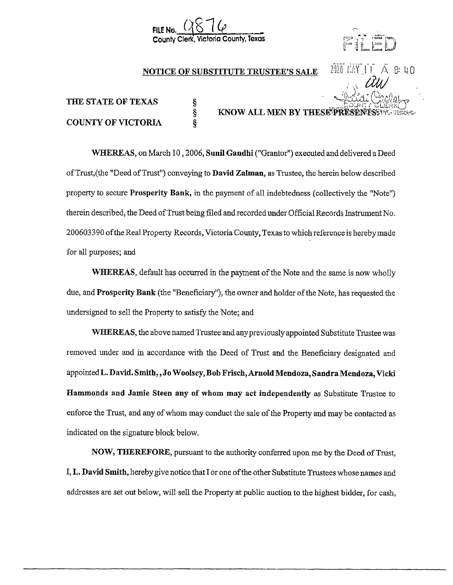

s<br>S ş



## NOTICE OF SUBSTITUTE TRUSTEE'S SALE  $2926$   $EM$  | | |  $A$  & 40

KNOW ALL MEN BY THESE PRESE

# THE STATE OF TEXAS COUNTY OF VICTORIA

# WHEREAS, on March 10, 2006, Sunil Gandhi ("Grantor") executed and delivered a Deed of Trust, (the "Deed of Trust") conveying to **David Zalman**, as Trustee, the herein below described property to secure Prosperity Bank, in the payment of all indebtedness (collectively the "Note") therein described, the Deed ofTrust being filed and recorded under Official Records Instrument No. 200603390 ofthe Real Property Records, Victoria County, Texas to which reference is hereby made for all purposes; and

WHEREAS, default has occurred in the payment of the Note and the same is now wholly due, and **Prosperity Bank** (the "Beneficiary"), the owner and holder of the Note, has requested the undersigned to sell the Property to satisfy the Note; and

WHEREAS, the above named Trustee and any previously appointed Substitute Trustee was removed under and in accordance with the Deed of Trust and the Beneficiary designated and appointed L. David. Smith, , Jo Woolsey, Bob Frisch, Arnold Mendoza, Sandra Mendoza, Vicki Hammonds and Jamie Steen any of whom may act independently as Substitute Trustee to enforce the Trust, and any ofwhom may conduct the sale ofthe Property and may be contacted as indicated on the signature block below.

NOW, THEREFORE, pursuant to the authority conferred upon me by the Deed of Trust, I, L. David Smith, herebygive notice that I or one of the other Substitute Trustees whose names and addresses are set out below, will sell the Property at public auction to the highest bidder, for cash,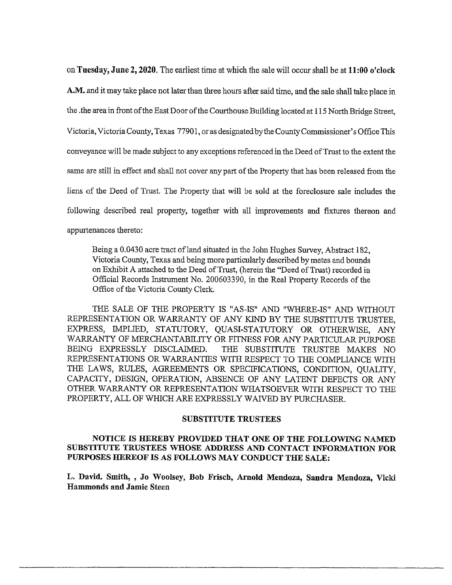on Tuesday, June 2, 2020. The earliest time at which the sale will occur shall be at 11: 00 <sup>o</sup>' clock A.M. and it may take place not later than three hours after said time, and the sale shall take place in the .the area in front of the East Door of the Courthouse Building located at 115 North Bridge Street, Victoria, Victoria County, Texas 77901, or as designated by the County Commissioner' <sup>s</sup> Office This conveyance will be made subject to any exceptions referenced in the Deed ofTrust to the extent the same are still in effect and shall not cover any part of the Property that has been released from the liens of the Deed of Trust. The Property that will be sold at the foreclosure sale includes the following described real property, together with all improvements and fixtures thereon and appurtenances thereto:

Being a 0.0430 acre tract of land situated in the John Hughes Survey, Abstract 182, Victoria County, Texas and being more particularly described by metes and bounds on Exhibit A attached to the Deed of Trust, ( herein the " Deed of Trust) recorded in Official Records Instrument No. 200603390, in the Real Property Records of the Office of the Victoria County Clerk.

THE SALE OF THE PROPERTY IS "AS-IS" AND "WHERE-IS" AND WITHOUT REPRESENTATION OR WARRANTY OF ANY KIND BY THE SUBSTITUTE TRUSTEE, EXPRESS, IMPLIED, STATUTORY, QUASI-STATUTORY OR OTHERWISE, ANY WARRANTY OF MERCHANTABILITY OR FITNESS FOR ANY PARTICULAR PURPOSE BEING EXPRESSLY DISCLAIMED. THE SUBSTITUTE TRUSTEE MAKES NO THE SUBSTITUTE TRUSTEE MAKES NO REPRESENTATIONS OR WARRANTIES WITH RESPECT TO THE COMPLIANCE WITH THE LAWS, RULES, AGREEMENTS OR SPECIFICATIONS, CONDITION, QUALITY, CAPACITY, DESIGN, OPERATION, ABSENCE OF ANY LATENT DEFECTS OR ANY OTHER WARRANTY OR REPRESENTATION WHATSOEVER WITH RESPECT TO THE PROPERTY, ALL OF WHICH ARE EXPRESSLY WAIVED BY PURCHASER.

#### SUBSTITUTE TRUSTEES

#### NOTICE IS HEREBY PROVIDED THAT ONE OF THE FOLLOWING NAMED SUBSTITUTE TRUSTEES WHOSE ADDRESS AND CONTACT INFORMATION FOR PURPOSES HEREOF IS AS FOLLOWS MAY CONDUCT THE SALE:

L. David. Smith, , Jo Woolsey, Bob Frisch, Arnold Mendoza, Sandra Mendoza, Vicki Hammonds and Jamie Steen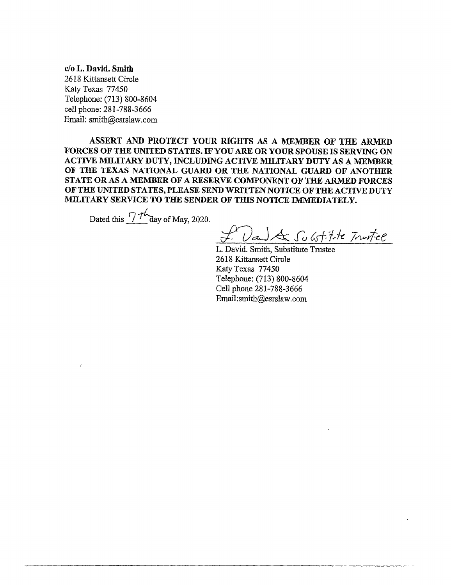c/o L. David. Smith 2618 Kittansett Circle Katy Texas 77450 Telephone: (713) 800-8604 cell phone: 281-788-3666 Email: smith@csrslaw. com

ASSERT AND PROTECT YOUR RIGHTS AS A MEMBER OF THE ARMED FORCES OF THE UNITED STATES. IF YOU ARE OR YOUR SPOUSE IS SERVING ON ACTIVE MILITARY DUTY, INCLUDING ACTIVE MILITARY DUTY AS A MEMBER OF THE TEXAS NATIONAL GUARD OR THE NATIONAL GUARD OF ANOTHER STATE OR AS A MEMBER OF A RESERVE COMPONENT OF THE ARMED FORCES OF THE UNITED STATES, PLEASE SEND WRITTEN NOTICE OF THE ACTIVE DUTY MILITARY SERVICE TO THE SENDER OF THIS NOTICE IMMEDIATELY.

Dated this  $7/$ <sup>t</sup> day of May, 2020.

Dan) & Substitute Trustee

L. David. Smith, Substitute Trustee 2618 Kittansett Circle Katy Texas 77450 Telephone: (713) 800-8604 Cell phone 281-788-3666 Email: smith@csrslaw. com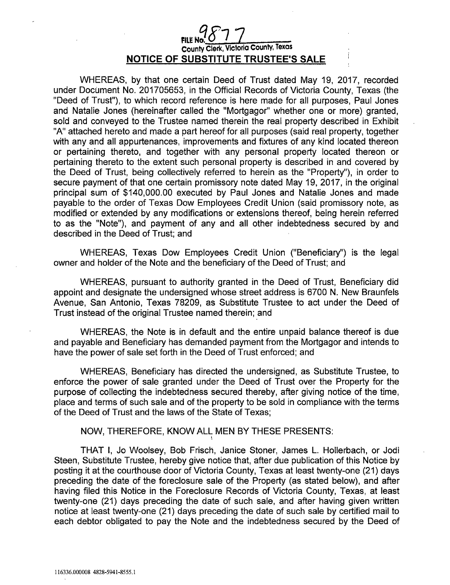# **9 877**<br>County Clerk, Victoria County, Texas NOTICE OF SUBSTITUTE TRUSTEE'S SALE

WHEREAS, by that one certain Deed of Trust dated May 19, 2017, recorded under Document No. 201705653, in the Official Records of Victoria County, Texas ( the Deed of Trust"), to which record reference is here made for all purposes, Paul Jones and Natalie Jones ( hereinafter called the " Mortgagor" whether one or more) granted, sold and conveyed to the Trustee named therein the real property described in Exhibit A" attached hereto and made a part hereof for all purposes ( said real property, together with any and all appurtenances, improvements and fixtures of any kind located thereon or pertaining thereto, and together with any personal property located thereon or pertaining thereto to the extent such personal property is described in and covered by the Deed of Trust, being collectively referred to herein as the " Property"), in order to secure payment of that one certain promissory note dated May 19, 2017, in the original principal sum of \$ 140, 000. 00 executed by Paul Jones and Natalie Jones and made payable to the order of Texas Dow Employees Credit Union ( said promissory note, as modified or extended by any modifications or extensions thereof, being herein referred to as the " Note"), and payment of any and all other indebtedness secured by and described in the Deed of Trust; and

WHEREAS, Texas Dow Employees Credit Union ("Beneficiary") is the legal owner and holder of the Note and the beneficiary of the Deed of Trust; and

WHEREAS, pursuant to authority granted in the Deed of Trust, Beneficiary did appoint and designate the undersigned whose street address is 6700 N. New Braunfels Avenue, San Antonio, Texas 78209, as Substitute Trustee to act under the Deed of Trust instead of the original Trustee named therein; and

WHEREAS, the Note is in default and the entire unpaid balance thereof is due and payable and Beneficiary has demanded payment from the Mortgagor and intends to have the power of sale set forth in the Deed of Trust enforced; and

WHEREAS, Beneficiary has directed the undersigned, as Substitute Trustee, to enforce the power of sale granted under the Deed of Trust over the Property for the purpose of collecting the indebtedness secured thereby, after giving notice of the time, place and terms of such sale and of the property to be sold in compliance with the terms of the Deed of Trust and the laws of the State of Texas;

#### NOW, THEREFORE, KNOW ALL MEN BY THESE PRESENTS:

THAT I, Jo Woolsey, Bob Frisch, Janice Stoner, James L. Hollerbach, or Jodi Steen, Substitute Trustee, hereby give notice that, after due publication of this Notice by posting it at the courthouse door of Victoria County, Texas at least twenty-one (21) days preceding the date of the foreclosure sale of the Property (as stated below), and after having filed this Notice in the Foreclosure Records of Victoria County, Texas, at least twenty-one (21) days preceding the date of such sale, and after having given written notice at least twenty-one (21) days preceding the date of such sale by certified mail to each debtor obligated to pay the Note and the indebtedness secured by the Deed of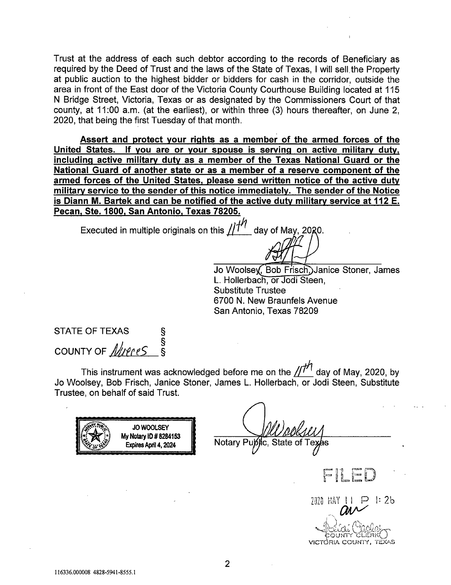Trust at the address of each such debtor according to the records of Beneficiary as required by the Deed of Trust and the laws of the State of Texas, I will sell, the Property at public auction to the highest bidder or bidders for cash in the corridor, outside the area in front of the East door of the Victoria County Courthouse Building located at 115 N Bridge Street, Victoria, Texas or as designated by the Commissioners Court of that county, at 11:00 a.m. (at the earliest), or within three (3) hours thereafter, on June 2, 2020, that being the first Tuesday of that month.

Assert and protect your rights as a member of the armed forces of the United States. If you are or your spouse is serving on active military duty, including active military duty as a member of the Texas National Guard or the National Guard of another state or as a member of a reserve component of the armed forces of the United States, please send written notice of the active duty military service to the sender of this notice immediately. The sender of the Notice is Diann M. Bartek and can be notified of the active duty military service at 112 E. Pecan, Ste. 1800, San Antonio, Texas 78205.

Executed in multiple originals on this  $\mu$   $\mu$  day of May, 20

 $\left\{\begin{matrix} 1 & 1 \\ 1 & 1 \end{matrix}\right\}$ <br>Jo Woolsey, Bob Frisch, Janice Stoner, James Holler<br>Jo Woolsey, Bob Frisch, Ja<br>L. Hollerbach, or Jodi Steen<br>Substitute Trustee **Substitute Trustee** 6700 N. New Braunfels Avenue San Antonio, Texas 78209

STATE OF TEXAS COUNTY OF *Nueres* §

IF THE READ SAMPLE CONTROLLER'S STRING This instrument was acknowledged policy. Bob Frisch, Janice Stoner, J This instrument was acknowledged before me on the  $\frac{1}{\sqrt{1}}$  day of May, 2020, by<br>Jo Woolsey, Bob Frisch, Janice Stoner, James L. Hollerbach, or Jodi Steen, Substitute Jo Woolsey, Bob Frisch, Janice Stoner, James L. Hollerbach, or Jodi Steen, Substitute<br>Trustee, on behalf of said Trust. before me on the  $\frac{1}{l'}$  day of May, 2020, by<br>mes L. Hollerbach, or Jodi Steen, Substitute

JO WOOLSEY<br>
y Notary ID # 8284153<br>Expires April 4, 2024 Notary Pupylic, State of Te  $y_2$ ; $y_3$ **JO WOOLSEY** My Notary ID # 8284153<br>Expires April 4, 2024 li<br>Ci t lle  $\frac{1}{2}$ 1: 2b  $\rightarrow$ VICTORIA COUNTY, 2